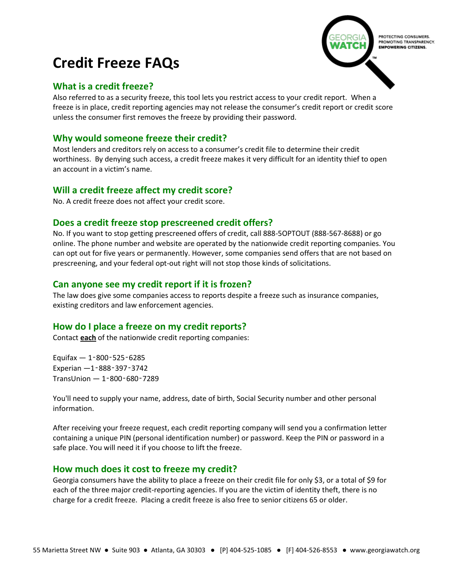# **Credit Freeze FAQs**

## **What is a credit freeze?**

Also referred to as a security freeze, this tool lets you restrict access to your credit report. When a freeze is in place, credit reporting agencies may not release the consumer's credit report or credit score unless the consumer first removes the freeze by providing their password.

# **Why would someone freeze their credit?**

Most lenders and creditors rely on access to a consumer's credit file to determine their credit worthiness. By denying such access, a credit freeze makes it very difficult for an identity thief to open an account in a victim's name.

# **Will a credit freeze affect my credit score?**

No. A credit freeze does not affect your credit score.

## **Does a credit freeze stop prescreened credit offers?**

No. If you want to stop getting prescreened offers of credit, call 888-5OPTOUT (888-567-8688) or go online. The phone number and website are operated by the nationwide credit reporting companies. You can opt out for five years or permanently. However, some companies send offers that are not based on prescreening, and your federal opt-out right will not stop those kinds of solicitations.

## **Can anyone see my credit report if it is frozen?**

The law does give some companies access to reports despite a freeze such as insurance companies, existing creditors and law enforcement agencies.

## **How do I place a freeze on my credit reports?**

Contact **each** of the nationwide credit reporting companies:

Equifax — 1‑800‑525‑6285 Experian —1‑888‑397‑3742 TransUnion — 1‑800‑680‑7289

You'll need to supply your name, address, date of birth, Social Security number and other personal information.

After receiving your freeze request, each credit reporting company will send you a confirmation letter containing a unique PIN (personal identification number) or password. Keep the PIN or password in a safe place. You will need it if you choose to lift the freeze.

## **How much does it cost to freeze my credit?**

Georgia consumers have the ability to place a freeze on their credit file for only \$3, or a total of \$9 for each of the three major credit-reporting agencies. If you are the victim of identity theft, there is no charge for a credit freeze. Placing a credit freeze is also free to senior citizens 65 or older.

# PROTECTING CONSUMERS PROMOTING TRANSPARENCY.<br>**EMPOWERING CITIZENS.**